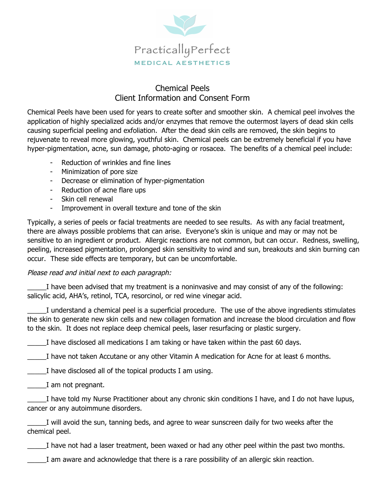

## Chemical Peels Client Information and Consent Form

Chemical Peels have been used for years to create softer and smoother skin. A chemical peel involves the application of highly specialized acids and/or enzymes that remove the outermost layers of dead skin cells causing superficial peeling and exfoliation. After the dead skin cells are removed, the skin begins to rejuvenate to reveal more glowing, youthful skin. Chemical peels can be extremely beneficial if you have hyper-pigmentation, acne, sun damage, photo-aging or rosacea. The benefits of a chemical peel include:

- Reduction of wrinkles and fine lines
- Minimization of pore size
- Decrease or elimination of hyper-pigmentation
- Reduction of acne flare ups
- Skin cell renewal
- Improvement in overall texture and tone of the skin

Typically, a series of peels or facial treatments are needed to see results. As with any facial treatment, there are always possible problems that can arise. Everyone's skin is unique and may or may not be sensitive to an ingredient or product. Allergic reactions are not common, but can occur. Redness, swelling, peeling, increased pigmentation, prolonged skin sensitivity to wind and sun, breakouts and skin burning can occur. These side effects are temporary, but can be uncomfortable.

## Please read and initial next to each paragraph:

I have been advised that my treatment is a noninvasive and may consist of any of the following: salicylic acid, AHA's, retinol, TCA, resorcinol, or red wine vinegar acid.

\_\_\_\_\_I understand a chemical peel is a superficial procedure. The use of the above ingredients stimulates the skin to generate new skin cells and new collagen formation and increase the blood circulation and flow to the skin. It does not replace deep chemical peels, laser resurfacing or plastic surgery.

\_\_\_\_\_I have disclosed all medications I am taking or have taken within the past 60 days.

I have not taken Accutane or any other Vitamin A medication for Acne for at least 6 months.

I have disclosed all of the topical products I am using.

\_\_\_\_\_I am not pregnant.

\_\_\_\_\_I have told my Nurse Practitioner about any chronic skin conditions I have, and I do not have lupus, cancer or any autoimmune disorders.

\_\_\_\_\_I will avoid the sun, tanning beds, and agree to wear sunscreen daily for two weeks after the chemical peel.

\_\_\_\_\_I have not had a laser treatment, been waxed or had any other peel within the past two months.

\_\_\_\_\_I am aware and acknowledge that there is a rare possibility of an allergic skin reaction.